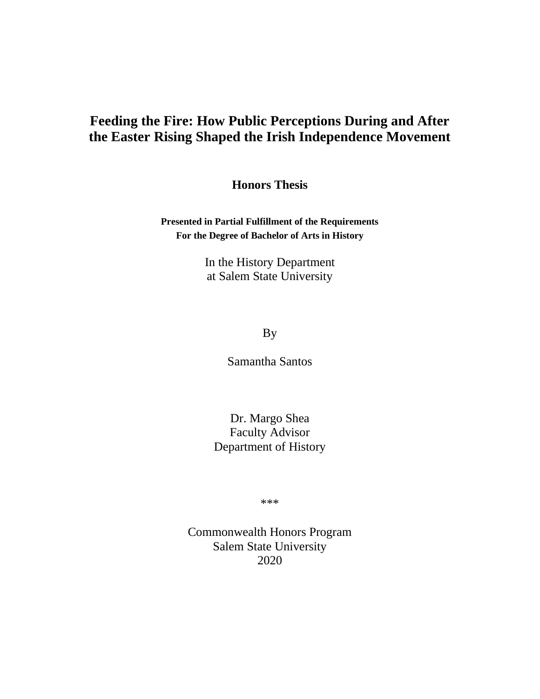## **Feeding the Fire: How Public Perceptions During and After the Easter Rising Shaped the Irish Independence Movement**

**Honors Thesis**

**Presented in Partial Fulfillment of the Requirements For the Degree of Bachelor of Arts in History**

> In the History Department at Salem State University

> > By

Samantha Santos

Dr. Margo Shea Faculty Advisor Department of History

\*\*\*

Commonwealth Honors Program Salem State University 2020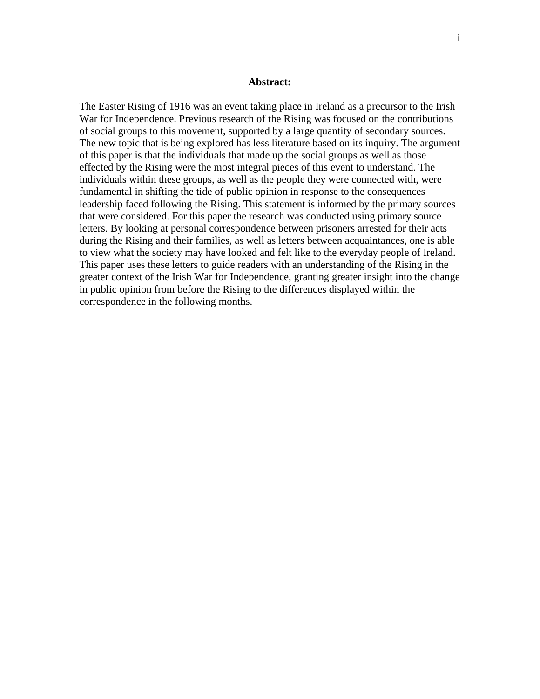## **Abstract:**

The Easter Rising of 1916 was an event taking place in Ireland as a precursor to the Irish War for Independence. Previous research of the Rising was focused on the contributions of social groups to this movement, supported by a large quantity of secondary sources. The new topic that is being explored has less literature based on its inquiry. The argument of this paper is that the individuals that made up the social groups as well as those effected by the Rising were the most integral pieces of this event to understand. The individuals within these groups, as well as the people they were connected with, were fundamental in shifting the tide of public opinion in response to the consequences leadership faced following the Rising. This statement is informed by the primary sources that were considered. For this paper the research was conducted using primary source letters. By looking at personal correspondence between prisoners arrested for their acts during the Rising and their families, as well as letters between acquaintances, one is able to view what the society may have looked and felt like to the everyday people of Ireland. This paper uses these letters to guide readers with an understanding of the Rising in the greater context of the Irish War for Independence, granting greater insight into the change in public opinion from before the Rising to the differences displayed within the correspondence in the following months.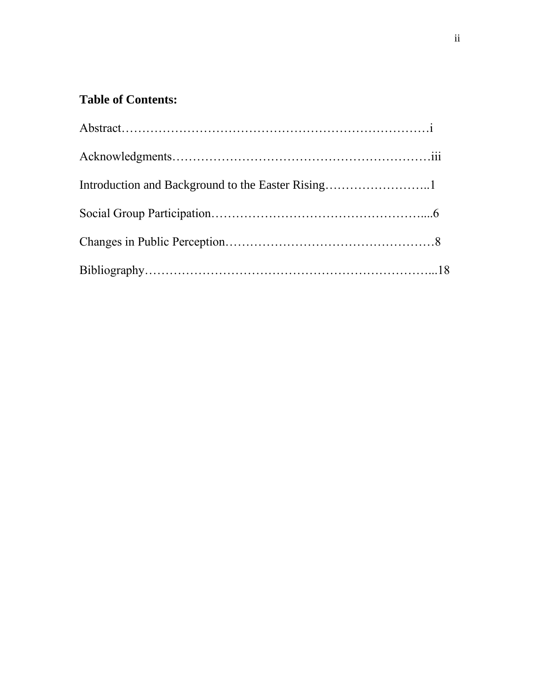## **Table of Contents:**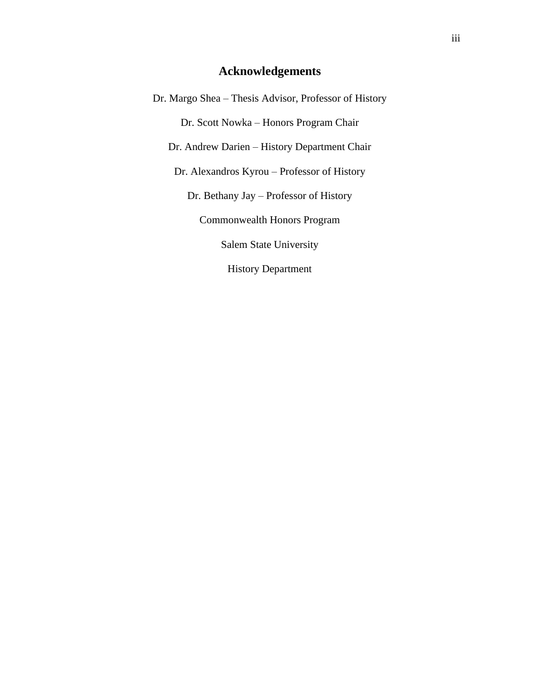## **Acknowledgements**

Dr. Margo Shea – Thesis Advisor, Professor of History Dr. Scott Nowka – Honors Program Chair Dr. Andrew Darien – History Department Chair Dr. Alexandros Kyrou – Professor of History Dr. Bethany Jay – Professor of History Commonwealth Honors Program Salem State University History Department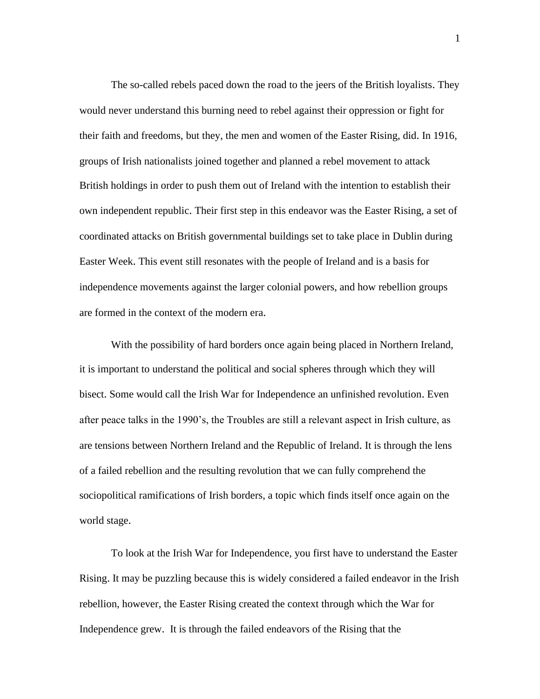The so-called rebels paced down the road to the jeers of the British loyalists. They would never understand this burning need to rebel against their oppression or fight for their faith and freedoms, but they, the men and women of the Easter Rising, did. In 1916, groups of Irish nationalists joined together and planned a rebel movement to attack British holdings in order to push them out of Ireland with the intention to establish their own independent republic. Their first step in this endeavor was the Easter Rising, a set of coordinated attacks on British governmental buildings set to take place in Dublin during Easter Week. This event still resonates with the people of Ireland and is a basis for independence movements against the larger colonial powers, and how rebellion groups are formed in the context of the modern era.

With the possibility of hard borders once again being placed in Northern Ireland, it is important to understand the political and social spheres through which they will bisect. Some would call the Irish War for Independence an unfinished revolution. Even after peace talks in the 1990's, the Troubles are still a relevant aspect in Irish culture, as are tensions between Northern Ireland and the Republic of Ireland. It is through the lens of a failed rebellion and the resulting revolution that we can fully comprehend the sociopolitical ramifications of Irish borders, a topic which finds itself once again on the world stage.

To look at the Irish War for Independence, you first have to understand the Easter Rising. It may be puzzling because this is widely considered a failed endeavor in the Irish rebellion, however, the Easter Rising created the context through which the War for Independence grew. It is through the failed endeavors of the Rising that the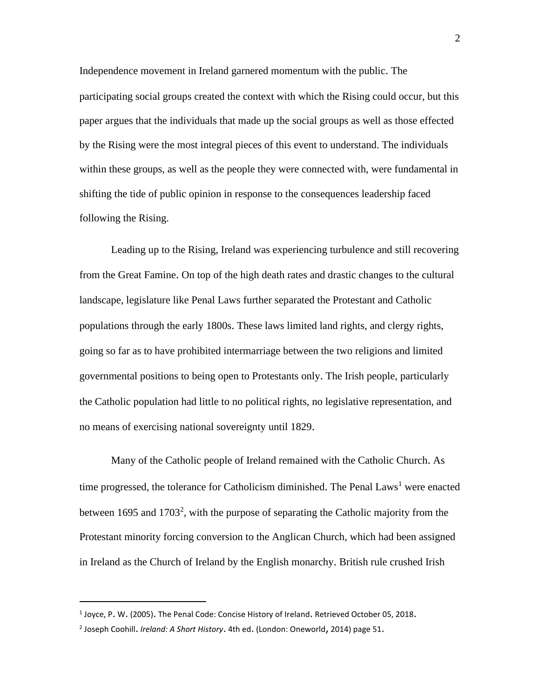Independence movement in Ireland garnered momentum with the public. The participating social groups created the context with which the Rising could occur, but this paper argues that the individuals that made up the social groups as well as those effected by the Rising were the most integral pieces of this event to understand. The individuals within these groups, as well as the people they were connected with, were fundamental in shifting the tide of public opinion in response to the consequences leadership faced following the Rising.

Leading up to the Rising, Ireland was experiencing turbulence and still recovering from the Great Famine. On top of the high death rates and drastic changes to the cultural landscape, legislature like Penal Laws further separated the Protestant and Catholic populations through the early 1800s. These laws limited land rights, and clergy rights, going so far as to have prohibited intermarriage between the two religions and limited governmental positions to being open to Protestants only. The Irish people, particularly the Catholic population had little to no political rights, no legislative representation, and no means of exercising national sovereignty until 1829.

Many of the Catholic people of Ireland remained with the Catholic Church. As time progressed, the tolerance for Catholicism diminished. The Penal Laws<sup>1</sup> were enacted between 1695 and 1703<sup>2</sup>, with the purpose of separating the Catholic majority from the Protestant minority forcing conversion to the Anglican Church, which had been assigned in Ireland as the Church of Ireland by the English monarchy. British rule crushed Irish

 $<sup>1</sup>$  Joyce, P. W. (2005). The Penal Code: Concise History of Ireland. Retrieved October 05, 2018.</sup>

<sup>2</sup> Joseph Coohill. *Ireland: A Short History*. 4th ed. (London: Oneworld, 2014) page 51.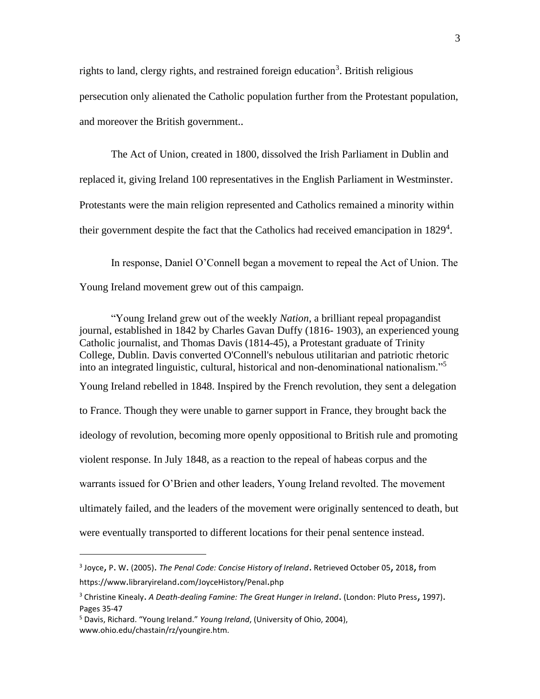rights to land, clergy rights, and restrained foreign education<sup>3</sup>. British religious persecution only alienated the Catholic population further from the Protestant population, and moreover the British government..

The Act of Union, created in 1800, dissolved the Irish Parliament in Dublin and replaced it, giving Ireland 100 representatives in the English Parliament in Westminster. Protestants were the main religion represented and Catholics remained a minority within their government despite the fact that the Catholics had received emancipation in 1829<sup>4</sup>.

In response, Daniel O'Connell began a movement to repeal the Act of Union. The Young Ireland movement grew out of this campaign.

"Young Ireland grew out of the weekly *Nation*, a brilliant repeal propagandist journal, established in 1842 by Charles Gavan Duffy (1816- 1903), an experienced young Catholic journalist, and Thomas Davis (1814-45), a Protestant graduate of Trinity College, Dublin. Davis converted O'Connell's nebulous utilitarian and patriotic rhetoric into an integrated linguistic, cultural, historical and non-denominational nationalism."<sup>5</sup> Young Ireland rebelled in 1848. Inspired by the French revolution, they sent a delegation to France. Though they were unable to garner support in France, they brought back the ideology of revolution, becoming more openly oppositional to British rule and promoting violent response. In July 1848, as a reaction to the repeal of habeas corpus and the warrants issued for O'Brien and other leaders, Young Ireland revolted. The movement ultimately failed, and the leaders of the movement were originally sentenced to death, but were eventually transported to different locations for their penal sentence instead.

<sup>3</sup> Joyce, P. W. (2005). *The Penal Code: Concise History of Ireland*. Retrieved October 05, 2018, from https://www.libraryireland.com/JoyceHistory/Penal.php

<sup>3</sup> Christine Kinealy. *A Death-dealing Famine: The Great Hunger in Ireland*. (London: Pluto Press, 1997). Pages 35-47

<sup>5</sup> Davis, Richard. "Young Ireland." *Young Ireland*, (University of Ohio, 2004), www.ohio.edu/chastain/rz/youngire.htm.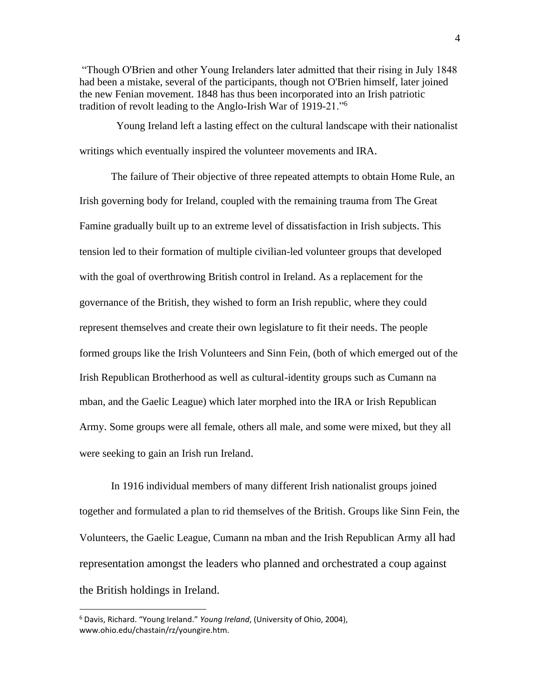"Though O'Brien and other Young Irelanders later admitted that their rising in July 1848 had been a mistake, several of the participants, though not O'Brien himself, later joined the new Fenian movement. 1848 has thus been incorporated into an Irish patriotic tradition of revolt leading to the Anglo-Irish War of 1919-21."<sup>6</sup>

 Young Ireland left a lasting effect on the cultural landscape with their nationalist writings which eventually inspired the volunteer movements and IRA.

The failure of Their objective of three repeated attempts to obtain Home Rule, an Irish governing body for Ireland, coupled with the remaining trauma from The Great Famine gradually built up to an extreme level of dissatisfaction in Irish subjects. This tension led to their formation of multiple civilian-led volunteer groups that developed with the goal of overthrowing British control in Ireland. As a replacement for the governance of the British, they wished to form an Irish republic, where they could represent themselves and create their own legislature to fit their needs. The people formed groups like the Irish Volunteers and Sinn Fein, (both of which emerged out of the Irish Republican Brotherhood as well as cultural-identity groups such as Cumann na mban, and the Gaelic League) which later morphed into the IRA or Irish Republican Army. Some groups were all female, others all male, and some were mixed, but they all were seeking to gain an Irish run Ireland.

In 1916 individual members of many different Irish nationalist groups joined together and formulated a plan to rid themselves of the British. Groups like Sinn Fein, the Volunteers, the Gaelic League, Cumann na mban and the Irish Republican Army all had representation amongst the leaders who planned and orchestrated a coup against the British holdings in Ireland.

<sup>6</sup> Davis, Richard. "Young Ireland." *Young Ireland*, (University of Ohio, 2004), www.ohio.edu/chastain/rz/youngire.htm.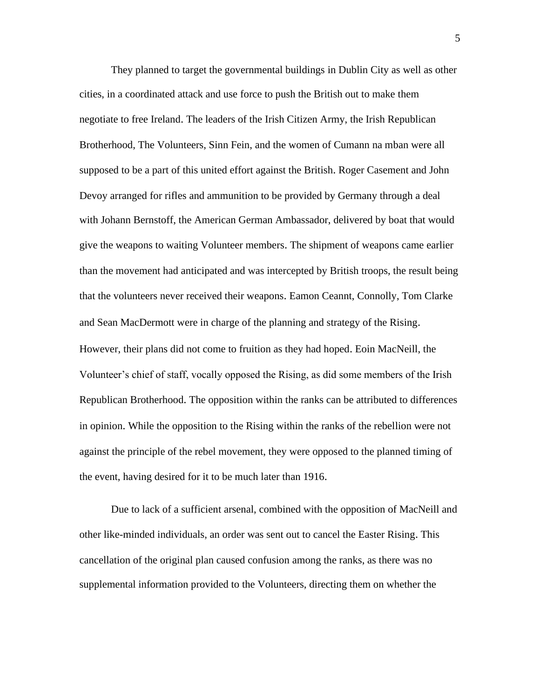They planned to target the governmental buildings in Dublin City as well as other cities, in a coordinated attack and use force to push the British out to make them negotiate to free Ireland. The leaders of the Irish Citizen Army, the Irish Republican Brotherhood, The Volunteers, Sinn Fein, and the women of Cumann na mban were all supposed to be a part of this united effort against the British. Roger Casement and John Devoy arranged for rifles and ammunition to be provided by Germany through a deal with Johann Bernstoff, the American German Ambassador, delivered by boat that would give the weapons to waiting Volunteer members. The shipment of weapons came earlier than the movement had anticipated and was intercepted by British troops, the result being that the volunteers never received their weapons. Eamon Ceannt, Connolly, Tom Clarke and Sean MacDermott were in charge of the planning and strategy of the Rising. However, their plans did not come to fruition as they had hoped. Eoin MacNeill, the Volunteer's chief of staff, vocally opposed the Rising, as did some members of the Irish Republican Brotherhood. The opposition within the ranks can be attributed to differences in opinion. While the opposition to the Rising within the ranks of the rebellion were not against the principle of the rebel movement, they were opposed to the planned timing of the event, having desired for it to be much later than 1916.

Due to lack of a sufficient arsenal, combined with the opposition of MacNeill and other like-minded individuals, an order was sent out to cancel the Easter Rising. This cancellation of the original plan caused confusion among the ranks, as there was no supplemental information provided to the Volunteers, directing them on whether the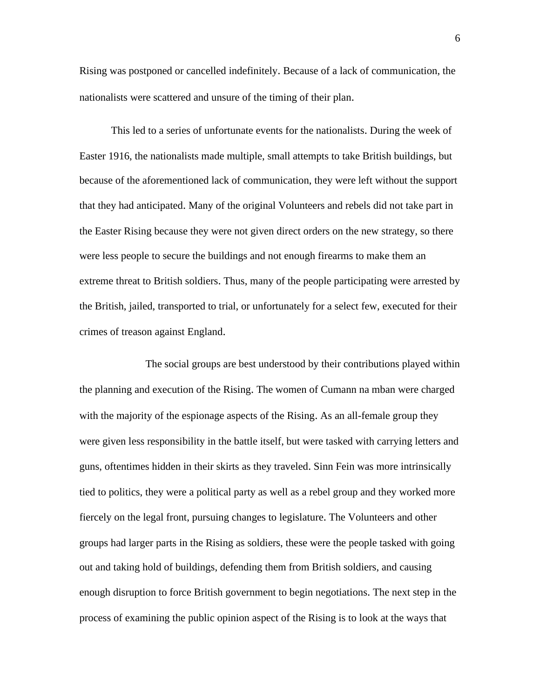Rising was postponed or cancelled indefinitely. Because of a lack of communication, the nationalists were scattered and unsure of the timing of their plan.

This led to a series of unfortunate events for the nationalists. During the week of Easter 1916, the nationalists made multiple, small attempts to take British buildings, but because of the aforementioned lack of communication, they were left without the support that they had anticipated. Many of the original Volunteers and rebels did not take part in the Easter Rising because they were not given direct orders on the new strategy, so there were less people to secure the buildings and not enough firearms to make them an extreme threat to British soldiers. Thus, many of the people participating were arrested by the British, jailed, transported to trial, or unfortunately for a select few, executed for their crimes of treason against England.

The social groups are best understood by their contributions played within the planning and execution of the Rising. The women of Cumann na mban were charged with the majority of the espionage aspects of the Rising. As an all-female group they were given less responsibility in the battle itself, but were tasked with carrying letters and guns, oftentimes hidden in their skirts as they traveled. Sinn Fein was more intrinsically tied to politics, they were a political party as well as a rebel group and they worked more fiercely on the legal front, pursuing changes to legislature. The Volunteers and other groups had larger parts in the Rising as soldiers, these were the people tasked with going out and taking hold of buildings, defending them from British soldiers, and causing enough disruption to force British government to begin negotiations. The next step in the process of examining the public opinion aspect of the Rising is to look at the ways that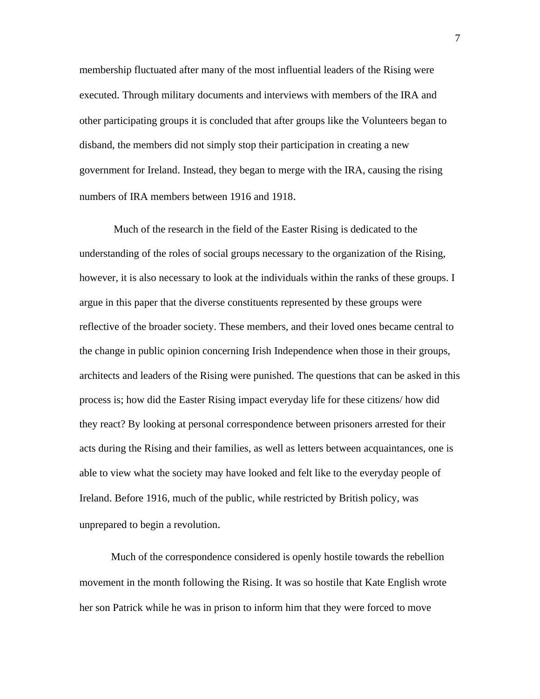membership fluctuated after many of the most influential leaders of the Rising were executed. Through military documents and interviews with members of the IRA and other participating groups it is concluded that after groups like the Volunteers began to disband, the members did not simply stop their participation in creating a new government for Ireland. Instead, they began to merge with the IRA, causing the rising numbers of IRA members between 1916 and 1918.

Much of the research in the field of the Easter Rising is dedicated to the understanding of the roles of social groups necessary to the organization of the Rising, however, it is also necessary to look at the individuals within the ranks of these groups. I argue in this paper that the diverse constituents represented by these groups were reflective of the broader society. These members, and their loved ones became central to the change in public opinion concerning Irish Independence when those in their groups, architects and leaders of the Rising were punished. The questions that can be asked in this process is; how did the Easter Rising impact everyday life for these citizens/ how did they react? By looking at personal correspondence between prisoners arrested for their acts during the Rising and their families, as well as letters between acquaintances, one is able to view what the society may have looked and felt like to the everyday people of Ireland. Before 1916, much of the public, while restricted by British policy, was unprepared to begin a revolution.

Much of the correspondence considered is openly hostile towards the rebellion movement in the month following the Rising. It was so hostile that Kate English wrote her son Patrick while he was in prison to inform him that they were forced to move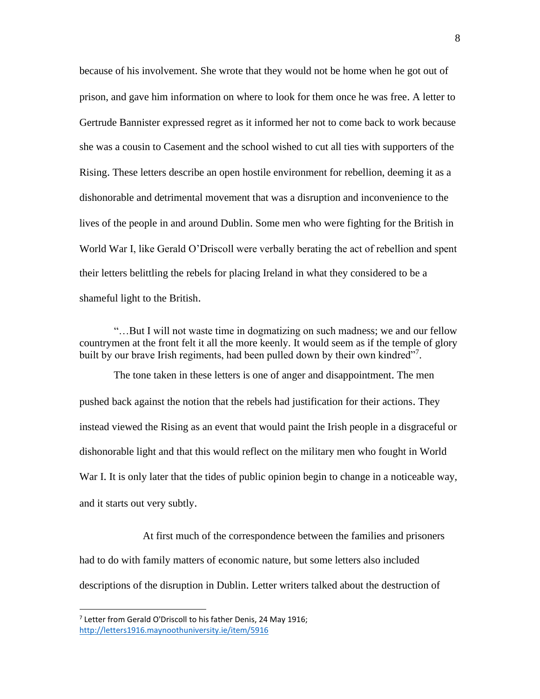because of his involvement. She wrote that they would not be home when he got out of prison, and gave him information on where to look for them once he was free. A letter to Gertrude Bannister expressed regret as it informed her not to come back to work because she was a cousin to Casement and the school wished to cut all ties with supporters of the Rising. These letters describe an open hostile environment for rebellion, deeming it as a dishonorable and detrimental movement that was a disruption and inconvenience to the lives of the people in and around Dublin. Some men who were fighting for the British in World War I, like Gerald O'Driscoll were verbally berating the act of rebellion and spent their letters belittling the rebels for placing Ireland in what they considered to be a shameful light to the British.

"…But I will not waste time in dogmatizing on such madness; we and our fellow countrymen at the front felt it all the more keenly. It would seem as if the temple of glory built by our brave Irish regiments, had been pulled down by their own kindred"7.

The tone taken in these letters is one of anger and disappointment. The men pushed back against the notion that the rebels had justification for their actions. They instead viewed the Rising as an event that would paint the Irish people in a disgraceful or dishonorable light and that this would reflect on the military men who fought in World War I. It is only later that the tides of public opinion begin to change in a noticeable way, and it starts out very subtly.

At first much of the correspondence between the families and prisoners had to do with family matters of economic nature, but some letters also included descriptions of the disruption in Dublin. Letter writers talked about the destruction of

<sup>&</sup>lt;sup>7</sup> Letter from Gerald O'Driscoll to his father Denis, 24 May 1916; <http://letters1916.maynoothuniversity.ie/item/5916>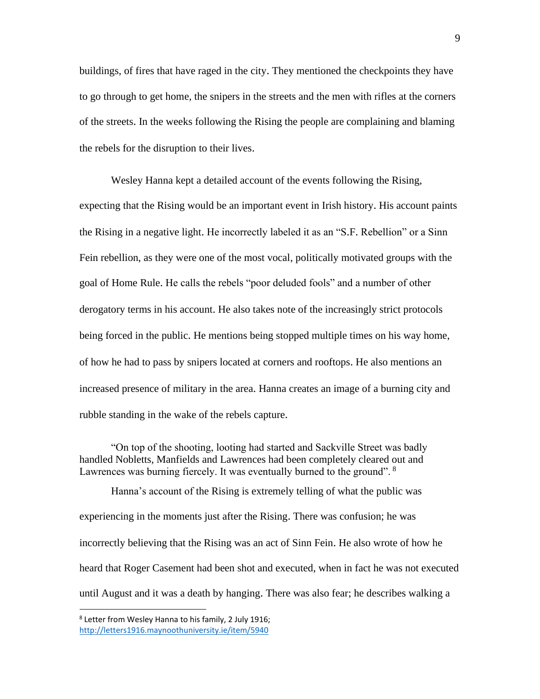buildings, of fires that have raged in the city. They mentioned the checkpoints they have to go through to get home, the snipers in the streets and the men with rifles at the corners of the streets. In the weeks following the Rising the people are complaining and blaming the rebels for the disruption to their lives.

Wesley Hanna kept a detailed account of the events following the Rising, expecting that the Rising would be an important event in Irish history. His account paints the Rising in a negative light. He incorrectly labeled it as an "S.F. Rebellion" or a Sinn Fein rebellion, as they were one of the most vocal, politically motivated groups with the goal of Home Rule. He calls the rebels "poor deluded fools" and a number of other derogatory terms in his account. He also takes note of the increasingly strict protocols being forced in the public. He mentions being stopped multiple times on his way home, of how he had to pass by snipers located at corners and rooftops. He also mentions an increased presence of military in the area. Hanna creates an image of a burning city and rubble standing in the wake of the rebels capture.

"On top of the shooting, looting had started and Sackville Street was badly handled Nobletts, Manfields and Lawrences had been completely cleared out and Lawrences was burning fiercely. It was eventually burned to the ground". <sup>8</sup>

Hanna's account of the Rising is extremely telling of what the public was experiencing in the moments just after the Rising. There was confusion; he was incorrectly believing that the Rising was an act of Sinn Fein. He also wrote of how he heard that Roger Casement had been shot and executed, when in fact he was not executed until August and it was a death by hanging. There was also fear; he describes walking a

<sup>&</sup>lt;sup>8</sup> Letter from Wesley Hanna to his family, 2 July 1916; <http://letters1916.maynoothuniversity.ie/item/5940>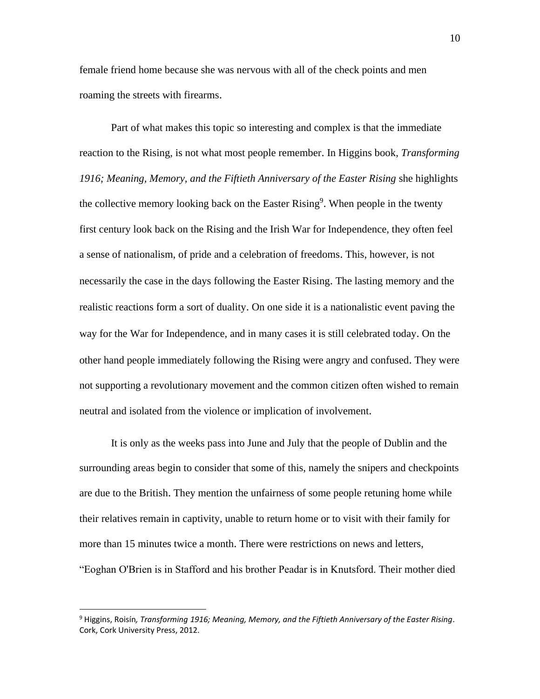female friend home because she was nervous with all of the check points and men roaming the streets with firearms.

Part of what makes this topic so interesting and complex is that the immediate reaction to the Rising, is not what most people remember. In Higgins book, *Transforming*  1916; Meaning, Memory, and the Fiftieth Anniversary of the Easter Rising she highlights the collective memory looking back on the Easter Rising<sup>9</sup>. When people in the twenty first century look back on the Rising and the Irish War for Independence, they often feel a sense of nationalism, of pride and a celebration of freedoms. This, however, is not necessarily the case in the days following the Easter Rising. The lasting memory and the realistic reactions form a sort of duality. On one side it is a nationalistic event paving the way for the War for Independence, and in many cases it is still celebrated today. On the other hand people immediately following the Rising were angry and confused. They were not supporting a revolutionary movement and the common citizen often wished to remain neutral and isolated from the violence or implication of involvement.

It is only as the weeks pass into June and July that the people of Dublin and the surrounding areas begin to consider that some of this, namely the snipers and checkpoints are due to the British. They mention the unfairness of some people retuning home while their relatives remain in captivity, unable to return home or to visit with their family for more than 15 minutes twice a month. There were restrictions on news and letters, "Eoghan O'Brien is in Stafford and his brother Peadar is in Knutsford. Their mother died

<sup>9</sup> Higgins, Roisín*, Transforming 1916; Meaning, Memory, and the Fiftieth Anniversary of the Easter Rising*. Cork, Cork University Press, 2012.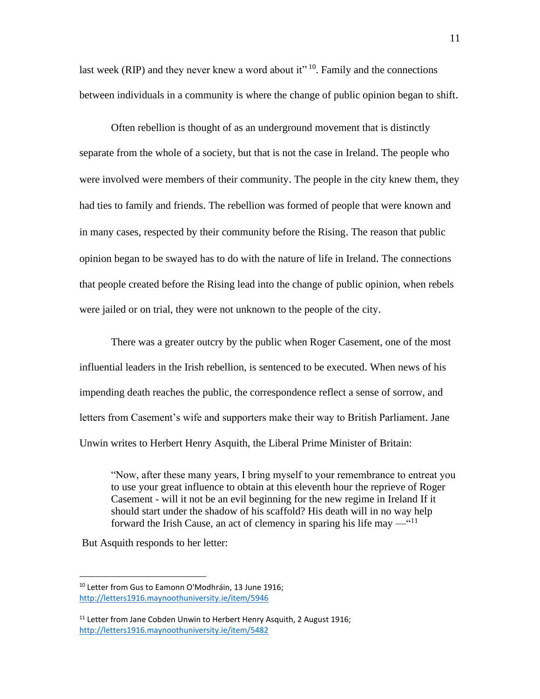last week (RIP) and they never knew a word about it"  $10$ . Family and the connections between individuals in a community is where the change of public opinion began to shift.

Often rebellion is thought of as an underground movement that is distinctly separate from the whole of a society, but that is not the case in Ireland. The people who were involved were members of their community. The people in the city knew them, they had ties to family and friends. The rebellion was formed of people that were known and in many cases, respected by their community before the Rising. The reason that public opinion began to be swayed has to do with the nature of life in Ireland. The connections that people created before the Rising lead into the change of public opinion, when rebels were jailed or on trial, they were not unknown to the people of the city.

There was a greater outcry by the public when Roger Casement, one of the most influential leaders in the Irish rebellion, is sentenced to be executed. When news of his impending death reaches the public, the correspondence reflect a sense of sorrow, and letters from Casement's wife and supporters make their way to British Parliament. Jane Unwin writes to Herbert Henry Asquith, the Liberal Prime Minister of Britain:

"Now, after these many years, I bring myself to your remembrance to entreat you to use your great influence to obtain at this eleventh hour the reprieve of Roger Casement - will it not be an evil beginning for the new regime in Ireland If it should start under the shadow of his scaffold? His death will in no way help forward the Irish Cause, an act of clemency in sparing his life may  $-$ <sup>"11</sup>

But Asquith responds to her letter:

<sup>&</sup>lt;sup>10</sup> Letter from Gus to Eamonn O'Modhráin, 13 June 1916; <http://letters1916.maynoothuniversity.ie/item/5946>

 $11$  Letter from Jane Cobden Unwin to Herbert Henry Asquith, 2 August 1916; <http://letters1916.maynoothuniversity.ie/item/5482>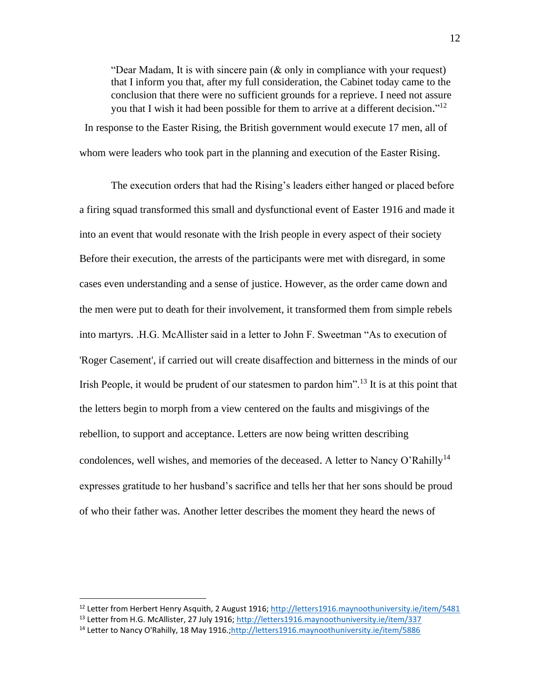"Dear Madam, It is with sincere pain (& only in compliance with your request) that I inform you that, after my full consideration, the Cabinet today came to the conclusion that there were no sufficient grounds for a reprieve. I need not assure you that I wish it had been possible for them to arrive at a different decision."<sup>12</sup> In response to the Easter Rising, the British government would execute 17 men, all of

whom were leaders who took part in the planning and execution of the Easter Rising.

The execution orders that had the Rising's leaders either hanged or placed before a firing squad transformed this small and dysfunctional event of Easter 1916 and made it into an event that would resonate with the Irish people in every aspect of their society Before their execution, the arrests of the participants were met with disregard, in some cases even understanding and a sense of justice. However, as the order came down and the men were put to death for their involvement, it transformed them from simple rebels into martyrs. .H.G. McAllister said in a letter to John F. Sweetman "As to execution of 'Roger Casement', if carried out will create disaffection and bitterness in the minds of our Irish People, it would be prudent of our statesmen to pardon him".<sup>13</sup> It is at this point that the letters begin to morph from a view centered on the faults and misgivings of the rebellion, to support and acceptance. Letters are now being written describing condolences, well wishes, and memories of the deceased. A letter to Nancy O'Rahilly<sup>14</sup> expresses gratitude to her husband's sacrifice and tells her that her sons should be proud of who their father was. Another letter describes the moment they heard the news of

<sup>12</sup> Letter from Herbert Henry Asquith, 2 August 1916;<http://letters1916.maynoothuniversity.ie/item/5481>

<sup>&</sup>lt;sup>13</sup> Letter from H.G. McAllister, 27 July 1916[; http://letters1916.maynoothuniversity.ie/item/337](http://letters1916.maynoothuniversity.ie/item/337)

<sup>&</sup>lt;sup>14</sup> Letter to Nancy O'Rahilly, 18 May 1916.[;http://letters1916.maynoothuniversity.ie/item/5886](http://letters1916.maynoothuniversity.ie/item/5886)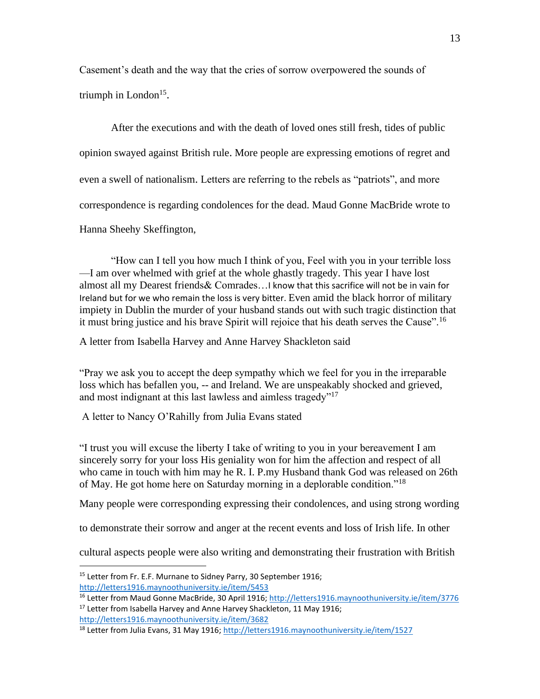Casement's death and the way that the cries of sorrow overpowered the sounds of triumph in  $London<sup>15</sup>$ .

After the executions and with the death of loved ones still fresh, tides of public opinion swayed against British rule. More people are expressing emotions of regret and even a swell of nationalism. Letters are referring to the rebels as "patriots", and more correspondence is regarding condolences for the dead. Maud Gonne MacBride wrote to Hanna Sheehy Skeffington,

"How can I tell you how much I think of you, Feel with you in your terrible loss —I am over whelmed with grief at the whole ghastly tragedy. This year I have lost almost all my Dearest friends& Comrades…I know that this sacrifice will not be in vain for Ireland but for we who remain the loss is very bitter. Even amid the black horror of military impiety in Dublin the murder of your husband stands out with such tragic distinction that it must bring justice and his brave Spirit will rejoice that his death serves the Cause".<sup>16</sup>

A letter from Isabella Harvey and Anne Harvey Shackleton said

"Pray we ask you to accept the deep sympathy which we feel for you in the irreparable loss which has befallen you, -- and Ireland. We are unspeakably shocked and grieved, and most indignant at this last lawless and aimless tragedy"<sup>17</sup>

A letter to Nancy O'Rahilly from Julia Evans stated

"I trust you will excuse the liberty I take of writing to you in your bereavement I am sincerely sorry for your loss His geniality won for him the affection and respect of all who came in touch with him may he R. I. P.my Husband thank God was released on 26th of May. He got home here on Saturday morning in a deplorable condition."<sup>18</sup>

Many people were corresponding expressing their condolences, and using strong wording

to demonstrate their sorrow and anger at the recent events and loss of Irish life. In other

cultural aspects people were also writing and demonstrating their frustration with British

<sup>&</sup>lt;sup>15</sup> Letter from Fr. E.F. Murnane to Sidney Parry, 30 September 1916; <http://letters1916.maynoothuniversity.ie/item/5453>

<sup>&</sup>lt;sup>16</sup> Letter from Maud Gonne MacBride, 30 April 1916[; http://letters1916.maynoothuniversity.ie/item/3776](http://letters1916.maynoothuniversity.ie/item/3776) <sup>17</sup> Letter from Isabella Harvey and Anne Harvey Shackleton, 11 May 1916; <http://letters1916.maynoothuniversity.ie/item/3682>

<sup>&</sup>lt;sup>18</sup> Letter from Julia Evans, 31 May 1916;<http://letters1916.maynoothuniversity.ie/item/1527>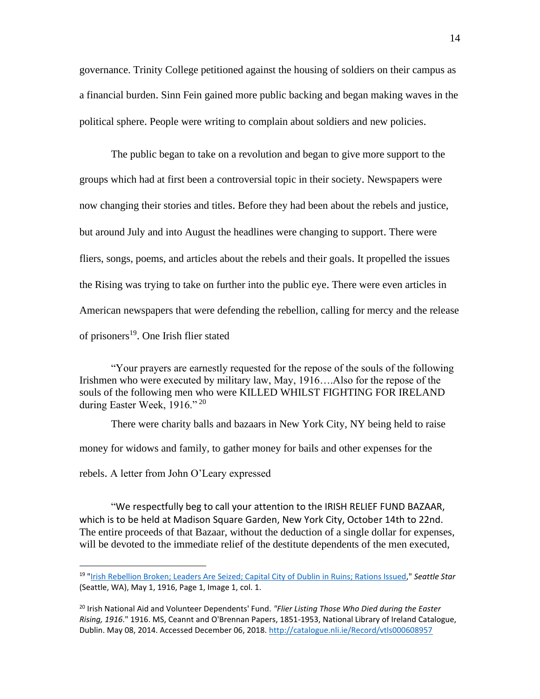governance. Trinity College petitioned against the housing of soldiers on their campus as a financial burden. Sinn Fein gained more public backing and began making waves in the political sphere. People were writing to complain about soldiers and new policies.

The public began to take on a revolution and began to give more support to the groups which had at first been a controversial topic in their society. Newspapers were now changing their stories and titles. Before they had been about the rebels and justice, but around July and into August the headlines were changing to support. There were fliers, songs, poems, and articles about the rebels and their goals. It propelled the issues the Rising was trying to take on further into the public eye. There were even articles in American newspapers that were defending the rebellion, calling for mercy and the release of prisoners<sup>19</sup>. One Irish flier stated

"Your prayers are earnestly requested for the repose of the souls of the following Irishmen who were executed by military law, May, 1916….Also for the repose of the souls of the following men who were KILLED WHILST FIGHTING FOR IRELAND during Easter Week, 1916."<sup>20</sup>

There were charity balls and bazaars in New York City, NY being held to raise money for widows and family, to gather money for bails and other expenses for the rebels. A letter from John O'Leary expressed

"We respectfully beg to call your attention to the IRISH RELIEF FUND BAZAAR, which is to be held at Madison Square Garden, New York City, October 14th to 22nd. The entire proceeds of that Bazaar, without the deduction of a single dollar for expenses, will be devoted to the immediate relief of the destitute dependents of the men executed,

<sup>19</sup> ["Irish Rebellion Broken; Leaders Are Seized; Capital](http://chroniclingamerica.loc.gov/lccn/sn87093407/1916-05-01/ed-1/seq-1/#date1=1916&sort=date&rows=20&words=IRISH+REBELLION&searchType=basic&sequence=0&index=2&state=&date2=1916&proxtext=irish+rebellion&y=0&x=0&dateFilterType=yearRange&page=4) City of Dublin in Ruins; Rations Issued," *Seattle Star* (Seattle, WA), May 1, 1916, Page 1, Image 1, col. 1.

<sup>20</sup> Irish National Aid and Volunteer Dependents' Fund. *"Flier Listing Those Who Died during the Easter Rising, 1916*." 1916. MS, Ceannt and O'Brennan Papers, 1851-1953, National Library of Ireland Catalogue, Dublin. May 08, 2014. Accessed December 06, 2018.<http://catalogue.nli.ie/Record/vtls000608957>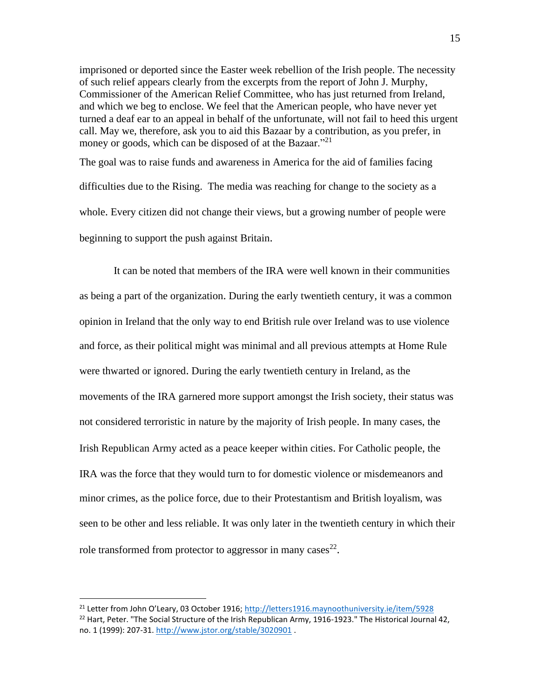imprisoned or deported since the Easter week rebellion of the Irish people. The necessity of such relief appears clearly from the excerpts from the report of John J. Murphy, Commissioner of the American Relief Committee, who has just returned from Ireland, and which we beg to enclose. We feel that the American people, who have never yet turned a deaf ear to an appeal in behalf of the unfortunate, will not fail to heed this urgent call. May we, therefore, ask you to aid this Bazaar by a contribution, as you prefer, in money or goods, which can be disposed of at the Bazaar."<sup>21</sup>

The goal was to raise funds and awareness in America for the aid of families facing difficulties due to the Rising. The media was reaching for change to the society as a whole. Every citizen did not change their views, but a growing number of people were beginning to support the push against Britain.

It can be noted that members of the IRA were well known in their communities as being a part of the organization. During the early twentieth century, it was a common opinion in Ireland that the only way to end British rule over Ireland was to use violence and force, as their political might was minimal and all previous attempts at Home Rule were thwarted or ignored. During the early twentieth century in Ireland, as the movements of the IRA garnered more support amongst the Irish society, their status was not considered terroristic in nature by the majority of Irish people. In many cases, the Irish Republican Army acted as a peace keeper within cities. For Catholic people, the IRA was the force that they would turn to for domestic violence or misdemeanors and minor crimes, as the police force, due to their Protestantism and British loyalism, was seen to be other and less reliable. It was only later in the twentieth century in which their role transformed from protector to aggressor in many cases<sup>22</sup>.

<sup>&</sup>lt;sup>21</sup> Letter from John O'Leary, 03 October 1916; <http://letters1916.maynoothuniversity.ie/item/5928>  $^{22}$  Hart, Peter. "The Social Structure of the Irish Republican Army, 1916-1923." The Historical Journal 42, no. 1 (1999): 207-31.<http://www.jstor.org/stable/3020901> .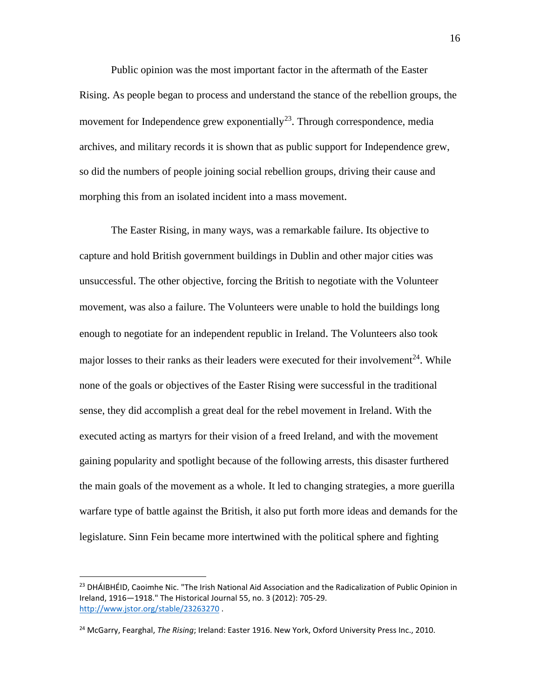Public opinion was the most important factor in the aftermath of the Easter Rising. As people began to process and understand the stance of the rebellion groups, the movement for Independence grew exponentially<sup>23</sup>. Through correspondence, media archives, and military records it is shown that as public support for Independence grew, so did the numbers of people joining social rebellion groups, driving their cause and morphing this from an isolated incident into a mass movement.

The Easter Rising, in many ways, was a remarkable failure. Its objective to capture and hold British government buildings in Dublin and other major cities was unsuccessful. The other objective, forcing the British to negotiate with the Volunteer movement, was also a failure. The Volunteers were unable to hold the buildings long enough to negotiate for an independent republic in Ireland. The Volunteers also took major losses to their ranks as their leaders were executed for their involvement $^{24}$ . While none of the goals or objectives of the Easter Rising were successful in the traditional sense, they did accomplish a great deal for the rebel movement in Ireland. With the executed acting as martyrs for their vision of a freed Ireland, and with the movement gaining popularity and spotlight because of the following arrests, this disaster furthered the main goals of the movement as a whole. It led to changing strategies, a more guerilla warfare type of battle against the British, it also put forth more ideas and demands for the legislature. Sinn Fein became more intertwined with the political sphere and fighting

<sup>&</sup>lt;sup>23</sup> DHÁIBHÉID, Caoimhe Nic. "The Irish National Aid Association and the Radicalization of Public Opinion in Ireland, 1916—1918." The Historical Journal 55, no. 3 (2012): 705-29. <http://www.jstor.org/stable/23263270> .

<sup>24</sup> McGarry, Fearghal, *The Rising*; Ireland: Easter 1916. New York, Oxford University Press Inc., 2010.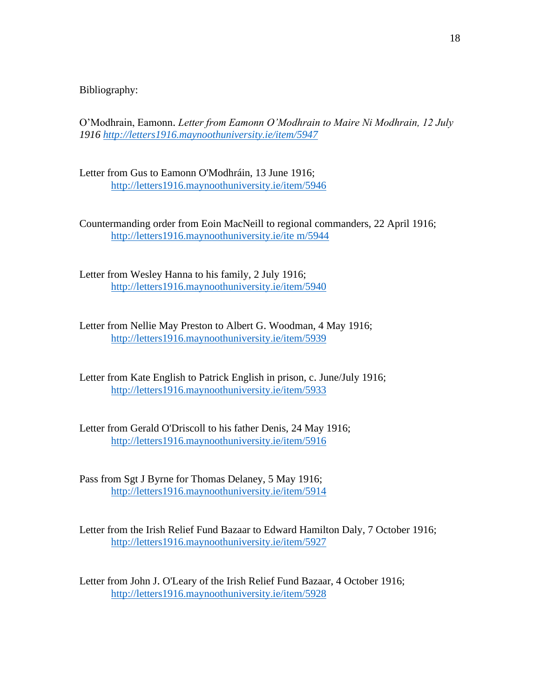Bibliography:

O'Modhrain, Eamonn. *Letter from Eamonn O'Modhrain to Maire Ni Modhrain, 12 July 1916 http://letters1916.[maynoothuniversity](http://letters1916.maynoothuniversity.ie/item/5947).ie/item/5947*

Letter from Gus to Eamonn O'Modhráin, 13 June 1916; http://letters1916.[maynoothuniversity](http://letters1916.maynoothuniversity.ie/item/5946).ie/item/5946

Countermanding order from Eoin MacNeill to regional commanders, 22 April 1916; http://letters1916.[maynoothuniversity](http://letters1916.maynoothuniversity.ie/item/5944).ie/ite m/5944

Letter from Wesley Hanna to his family, 2 July 1916; http://letters1916.[maynoothuniversity](http://letters1916.maynoothuniversity.ie/item/5940).ie/item/5940

Letter from Nellie May Preston to Albert G. Woodman, 4 May 1916; http://letters1916.[maynoothuniversity](http://letters1916.maynoothuniversity.ie/item/5939).ie/item/5939

Letter from Kate English to Patrick English in prison, c. June/July 1916; http://letters1916.[maynoothuniversity](http://letters1916.maynoothuniversity.ie/item/5933).ie/item/5933

Letter from Gerald O'Driscoll to his father Denis, 24 May 1916; http://letters1916.[maynoothuniversity](http://letters1916.maynoothuniversity.ie/item/5916).ie/item/5916

Pass from Sgt J Byrne for Thomas Delaney, 5 May 1916; http://letters1916.[maynoothuniversity](http://letters1916.maynoothuniversity.ie/item/5914).ie/item/5914

Letter from the Irish Relief Fund Bazaar to Edward Hamilton Daly, 7 October 1916; http://letters1916.[maynoothuniversity](http://letters1916.maynoothuniversity.ie/item/5927).ie/item/5927

Letter from John J. O'Leary of the Irish Relief Fund Bazaar, 4 October 1916; http://letters1916.[maynoothuniversity](http://letters1916.maynoothuniversity.ie/item/5928).ie/item/5928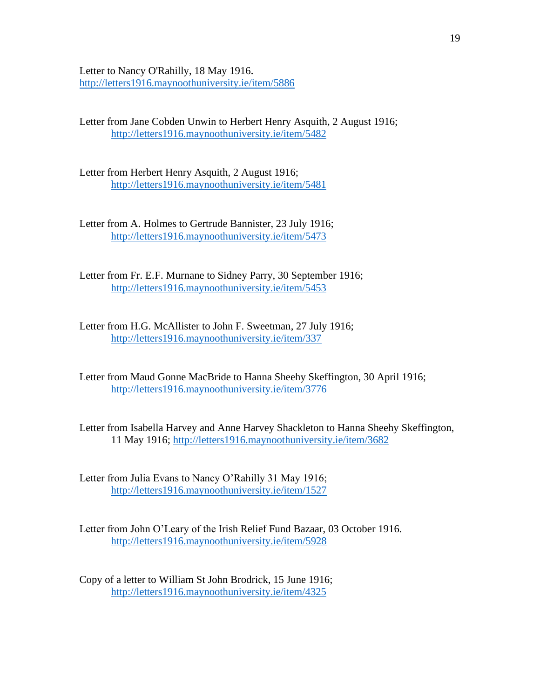Letter to Nancy O'Rahilly, 18 May 1916. http://letters1916.[maynoothuniversity](http://letters1916.maynoothuniversity.ie/item/5886).ie/item/5886

Letter from Jane Cobden Unwin to Herbert Henry Asquith, 2 August 1916; http://letters1916.[maynoothuniversity](http://letters1916.maynoothuniversity.ie/item/5482).ie/item/5482

Letter from Herbert Henry Asquith, 2 August 1916; http://letters1916.[maynoothuniversity](http://letters1916.maynoothuniversity.ie/item/5481).ie/item/5481

Letter from A. Holmes to Gertrude Bannister, 23 July 1916; http://letters1916.[maynoothuniversity](http://letters1916.maynoothuniversity.ie/item/5473).ie/item/5473

Letter from Fr. E.F. Murnane to Sidney Parry, 30 September 1916; http://letters1916.[maynoothuniversity](http://letters1916.maynoothuniversity.ie/item/5453).ie/item/5453

Letter from H.G. McAllister to John F. Sweetman, 27 July 1916; <http://letters1916.maynoothuniversity.ie/item/337>

Letter from Maud Gonne MacBride to Hanna Sheehy Skeffington, 30 April 1916; <http://letters1916.maynoothuniversity.ie/item/3776>

Letter from Isabella Harvey and Anne Harvey Shackleton to Hanna Sheehy Skeffington, 11 May 1916;<http://letters1916.maynoothuniversity.ie/item/3682>

Letter from Julia Evans to Nancy O'Rahilly 31 May 1916; <http://letters1916.maynoothuniversity.ie/item/1527>

Letter from John O'Leary of the Irish Relief Fund Bazaar, 03 October 1916. <http://letters1916.maynoothuniversity.ie/item/5928>

Copy of a letter to William St John Brodrick, 15 June 1916; http://letters1916.[maynoothuniversity](http://letters1916.maynoothuniversity.ie/item/4325).ie/item/4325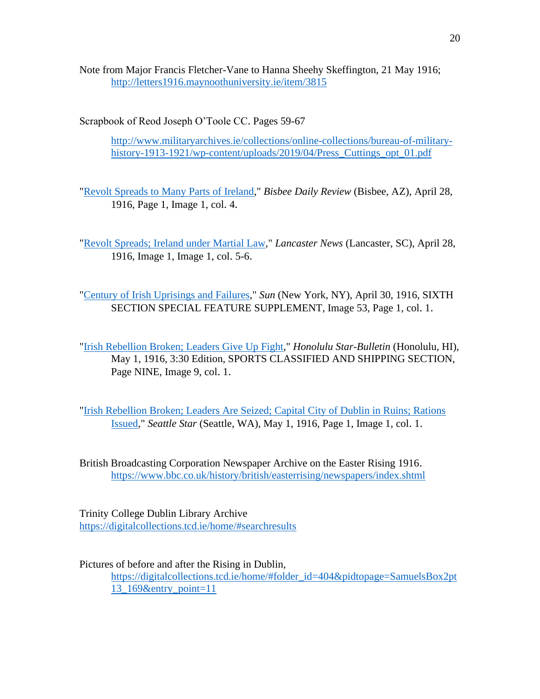Note from Major Francis Fletcher-Vane to Hanna Sheehy Skeffington, 21 May 1916; <http://letters1916.maynoothuniversity.ie/item/3815>

Scrapbook of Reod Joseph O'Toole CC. Pages 59-67

http://www.militaryarchives.[ie/collections/online-collections/bureau-of-military](http://www.militaryarchives.ie/collections/online-collections/bureau-of-military-history-1913-1921/wp-content/uploads/2019/04/Press_Cuttings_opt_01.pdf)[history-1913-1921/wp-content/uploads/2019/04/Press\\_Cuttings\\_opt\\_01](http://www.militaryarchives.ie/collections/online-collections/bureau-of-military-history-1913-1921/wp-content/uploads/2019/04/Press_Cuttings_opt_01.pdf).pdf

["Revolt Spreads to Many Parts of Ireland,](http://chroniclingamerica.loc.gov/lccn/sn84024827/1916-04-28/ed-1/seq-1/#date1=1916&sort=date&date2=1916&words=Irish+Rebellion&searchType=basic&sequence=0&index=19&state=&rows=20&proxtext=irish+rebellion&y=0&x=0&dateFilterType=yearRange&page=)" *Bisbee Daily Review* (Bisbee, AZ), April 28, 1916, Page 1, Image 1, col. 4.

["Revolt Spreads; Ireland under](http://chroniclingamerica.loc.gov/lccn/sn83007465/1916-04-28/ed-1/seq-1/#date1=1916&sort=date&rows=20&words=Irish+rebellion&searchType=basic&sequence=0&index=18&state=&date2=1916&proxtext=irish+rebellion&y=0&x=0&dateFilterType=yearRange&page=2) Martial Law," *Lancaster News* (Lancaster, SC), April 28, 1916, Image 1, Image 1, col. 5-6.

["Century of Irish Uprisings and Failures,](http://chroniclingamerica.loc.gov/lccn/sn83030272/1916-04-30/ed-1/seq-53/#date1=1916&index=6&rows=20&words=Ireland&searchType=basic&sequence=0&state=&date2=1916&proxtext=ireland&y=0&x=0&dateFilterType=yearRange&page=1)" *Sun* (New York, NY), April 30, 1916, SIXTH SECTION SPECIAL FEATURE SUPPLEMENT, Image 53, Page 1, col. 1.

["Irish Rebellion Broken; Leaders Give Up Fight,](http://chroniclingamerica.loc.gov/lccn/sn82014682/1916-05-01/ed-2/seq-9/#date1=1916&sort=date&rows=20&words=IRISH+Irish+rebellion+REBELLION&searchType=basic&sequence=0&index=17&state=&date2=1916&proxtext=irish+rebellion&y=0&x=0&dateFilterType=yearRange&page=3)" *Honolulu Star-Bulletin* (Honolulu, HI), May 1, 1916, 3:30 Edition, SPORTS CLASSIFIED AND SHIPPING SECTION, Page NINE, Image 9, col. 1.

["Irish Rebellion Broken; Leaders Are Seized; Capital](http://chroniclingamerica.loc.gov/lccn/sn87093407/1916-05-01/ed-1/seq-1/#date1=1916&sort=date&rows=20&words=IRISH+REBELLION&searchType=basic&sequence=0&index=2&state=&date2=1916&proxtext=irish+rebellion&y=0&x=0&dateFilterType=yearRange&page=4) City of Dublin in Ruins; Rations [Issued,](http://chroniclingamerica.loc.gov/lccn/sn87093407/1916-05-01/ed-1/seq-1/#date1=1916&sort=date&rows=20&words=IRISH+REBELLION&searchType=basic&sequence=0&index=2&state=&date2=1916&proxtext=irish+rebellion&y=0&x=0&dateFilterType=yearRange&page=4)" *Seattle Star* (Seattle, WA), May 1, 1916, Page 1, Image 1, col. 1.

British Broadcasting Corporation Newspaper Archive on the Easter Rising 1916. https://www.bbc.co.[uk/history/british/easterrising/newspapers/index](https://www.bbc.co.uk/history/british/easterrising/newspapers/index.shtml).shtml

Trinity College Dublin Library Archive [https://digitalcollections](https://digitalcollections.tcd.ie/home/#searchresults).tcd.ie/home/#searchresults

Pictures of before and after the Rising in Dublin,

https://digitalcollections.tcd.[ie/home/#folder\\_id=404&pidtopage=SamuelsBox2pt](https://digitalcollections.tcd.ie/home/#folder_id=404&pidtopage=SamuelsBox2pt13_169&entry_point=11) [13\\_169&entry\\_point=11](https://digitalcollections.tcd.ie/home/#folder_id=404&pidtopage=SamuelsBox2pt13_169&entry_point=11)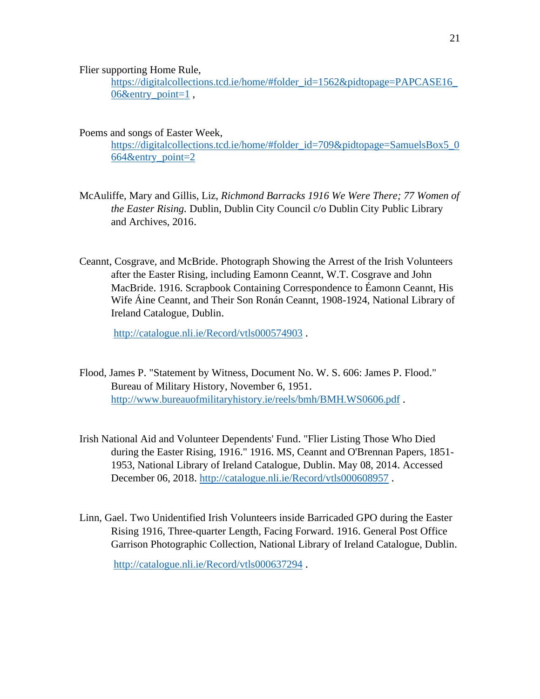Flier supporting Home Rule,

https://digitalcollections.tcd.[ie/home/#folder\\_id=1562&pidtopage=PAPCASE16\\_](https://digitalcollections.tcd.ie/home/#folder_id=1562&pidtopage=PAPCASE16_06&entry_point=1) [06&entry\\_point=1](https://digitalcollections.tcd.ie/home/#folder_id=1562&pidtopage=PAPCASE16_06&entry_point=1),

Poems and songs of Easter Week,

https://digitalcollections.tcd.[ie/home/#folder\\_id=709&pidtopage=SamuelsBox5\\_0](https://digitalcollections.tcd.ie/home/#folder_id=709&pidtopage=SamuelsBox5_0664&entry_point=2) [664&entry\\_point=2](https://digitalcollections.tcd.ie/home/#folder_id=709&pidtopage=SamuelsBox5_0664&entry_point=2)

- McAuliffe, Mary and Gillis, Liz, *Richmond Barracks 1916 We Were There; 77 Women of the Easter Rising.* Dublin, Dublin City Council c/o Dublin City Public Library and Archives, 2016.
- Ceannt, Cosgrave, and McBride. Photograph Showing the Arrest of the Irish Volunteers after the Easter Rising, including Eamonn Ceannt, W.T. Cosgrave and John MacBride. 1916. Scrapbook Containing Correspondence to Éamonn Ceannt, His Wife Áine Ceannt, and Their Son Ronán Ceannt, 1908-1924, National Library of Ireland Catalogue, Dublin.

http://catalogue.nli.[ie/Record/vtls000574903](http://catalogue.nli.ie/Record/vtls000574903) .

- Flood, James P. "Statement by Witness, Document No. W. S. 606: James P. Flood." Bureau of Military History, November 6, 1951. http://www.[bureauofmilitaryhistory](http://www.bureauofmilitaryhistory.ie/reels/bmh/BMH.WS0606.pdf).ie/reels/bmh/BMH.WS0606.pdf .
- Irish National Aid and Volunteer Dependents' Fund. "Flier Listing Those Who Died during the Easter Rising, 1916." 1916. MS, Ceannt and O'Brennan Papers, 1851- 1953, National Library of Ireland Catalogue, Dublin. May 08, 2014. Accessed December 06, 2018. http://catalogue.nli.[ie/Record/vtls000608957](http://catalogue.nli.ie/Record/vtls000608957) .
- Linn, Gael. Two Unidentified Irish Volunteers inside Barricaded GPO during the Easter Rising 1916, Three-quarter Length, Facing Forward. 1916. General Post Office Garrison Photographic Collection, National Library of Ireland Catalogue, Dublin.

http://catalogue.nli.[ie/Record/vtls000637294](http://catalogue.nli.ie/Record/vtls000637294) .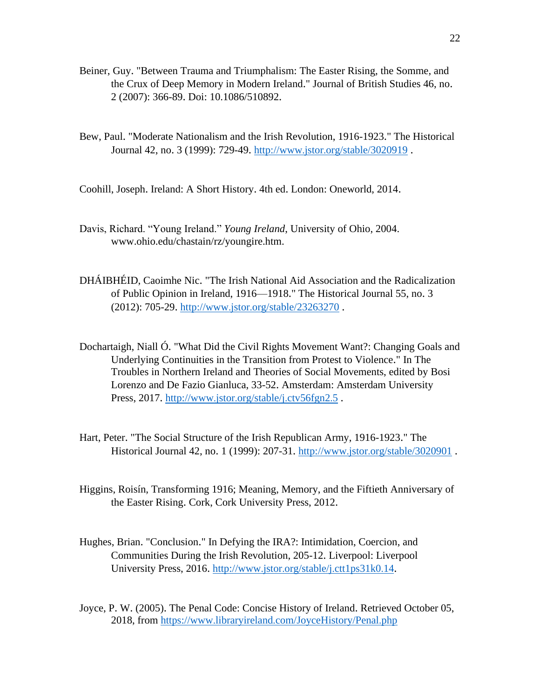- Beiner, Guy. "Between Trauma and Triumphalism: The Easter Rising, the Somme, and the Crux of Deep Memory in Modern Ireland." Journal of British Studies 46, no. 2 (2007): 366-89. Doi: 10.1086/510892.
- Bew, Paul. "Moderate Nationalism and the Irish Revolution, 1916-1923." The Historical Journal 42, no. 3 (1999): 729-49. http://www.jstor.[org/stable/3020919](http://www.jstor.org/stable/3020919) .

Coohill, Joseph. Ireland: A Short History. 4th ed. London: Oneworld, 2014.

- Davis, Richard. "Young Ireland." *Young Ireland*, University of Ohio, 2004. www.ohio.edu/chastain/rz/youngire.htm.
- DHÁIBHÉID, Caoimhe Nic. "The Irish National Aid Association and the Radicalization of Public Opinion in Ireland, 1916—1918." The Historical Journal 55, no. 3 (2012): 705-29. http://www.jstor.[org/stable/23263270](http://www.jstor.org/stable/23263270) .
- Dochartaigh, Niall Ó. "What Did the Civil Rights Movement Want?: Changing Goals and Underlying Continuities in the Transition from Protest to Violence." In The Troubles in Northern Ireland and Theories of Social Movements, edited by Bosi Lorenzo and De Fazio Gianluca, 33-52. Amsterdam: Amsterdam University Press, 2017. [http://www](http://www.jstor.org/stable/j.ctv56fgn2.5).jstor.org/stable/j.ctv56fgn2.5.
- Hart, Peter. "The Social Structure of the Irish Republican Army, 1916-1923." The Historical Journal 42, no. 1 (1999): 207-31. http://www.jstor.[org/stable/3020901](http://www.jstor.org/stable/3020901) .
- Higgins, Roisín, Transforming 1916; Meaning, Memory, and the Fiftieth Anniversary of the Easter Rising. Cork, Cork University Press, 2012.
- Hughes, Brian. "Conclusion." In Defying the IRA?: Intimidation, Coercion, and Communities During the Irish Revolution, 205-12. Liverpool: Liverpool University Press, 2016. [http://www](http://www.jstor.org/stable/j.ctt1ps31k0.14).jstor.org/stable/j.ctt1ps31k0.14.
- Joyce, P. W. (2005). The Penal Code: Concise History of Ireland. Retrieved October 05, 2018, from https://www.libraryireland.[com/JoyceHistory/Penal](https://www.libraryireland.com/JoyceHistory/Penal.php).php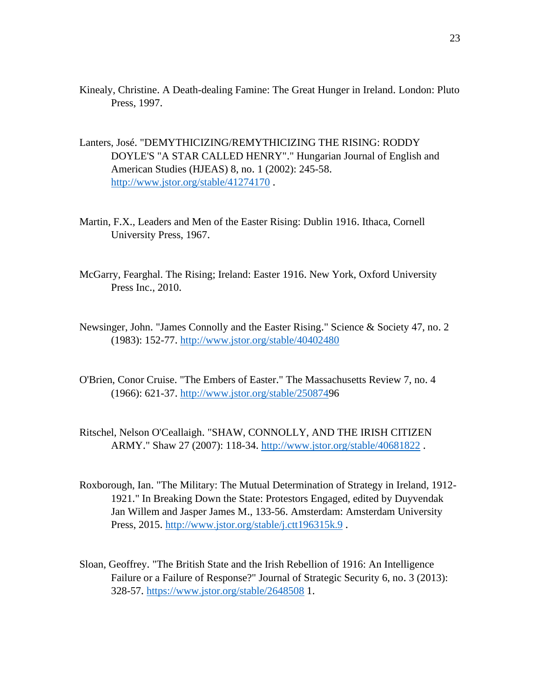- Kinealy, Christine. A Death-dealing Famine: The Great Hunger in Ireland. London: Pluto Press, 1997.
- Lanters, José. "DEMYTHICIZING/REMYTHICIZING THE RISING: RODDY DOYLE'S "A STAR CALLED HENRY"." Hungarian Journal of English and American Studies (HJEAS) 8, no. 1 (2002): 245-58. http://www.jstor.[org/stable/41274170](http://www.jstor.org/stable/41274170) .
- Martin, F.X., Leaders and Men of the Easter Rising: Dublin 1916. Ithaca, Cornell University Press, 1967.
- McGarry, Fearghal. The Rising; Ireland: Easter 1916. New York, Oxford University Press Inc., 2010.
- Newsinger, John. "James Connolly and the Easter Rising." Science & Society 47, no. 2 (1983): 152-77. http://www.jstor.[org/stable/40402480](http://www.jstor.org/stable/40402480)
- O'Brien, Conor Cruise. "The Embers of Easter." The Massachusetts Review 7, no. 4 (1966): 621-37. http://www.jstor.[org/stable/2508749](http://www.jstor.org/stable/2508749)6
- Ritschel, Nelson O'Ceallaigh. "SHAW, CONNOLLY, AND THE IRISH CITIZEN ARMY." Shaw 27 (2007): 118-34. http://www.jstor.[org/stable/40681822](http://www.jstor.org/stable/40681822) .
- Roxborough, Ian. "The Military: The Mutual Determination of Strategy in Ireland, 1912- 1921." In Breaking Down the State: Protestors Engaged, edited by Duyvendak Jan Willem and Jasper James M., 133-56. Amsterdam: Amsterdam University Press, 2015. [http://www](http://www.jstor.org/stable/j.ctt196315k.9).jstor.org/stable/j.ctt196315k.9 .
- Sloan, Geoffrey. "The British State and the Irish Rebellion of 1916: An Intelligence Failure or a Failure of Response?" Journal of Strategic Security 6, no. 3 (2013): 328-57. https://www.jstor.[org/stable/2648508](https://www.jstor.org/stable/2648508) 1.